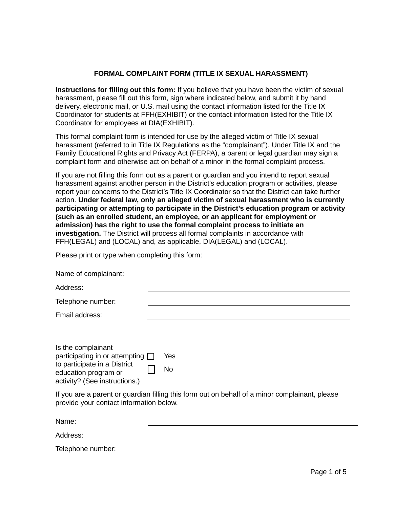## **FORMAL COMPLAINT FORM (TITLE IX SEXUAL HARASSMENT)**

**Instructions for filling out this form:** If you believe that you have been the victim of sexual harassment, please fill out this form, sign where indicated below, and submit it by hand delivery, electronic mail, or U.S. mail using the contact information listed for the Title IX Coordinator for students at FFH(EXHIBIT) or the contact information listed for the Title IX Coordinator for employees at DIA(EXHIBIT).

This formal complaint form is intended for use by the alleged victim of Title IX sexual harassment (referred to in Title IX Regulations as the "complainant"). Under Title IX and the Family Educational Rights and Privacy Act (FERPA), a parent or legal guardian may sign a complaint form and otherwise act on behalf of a minor in the formal complaint process.

If you are not filling this form out as a parent or guardian and you intend to report sexual harassment against another person in the District's education program or activities, please report your concerns to the District's Title IX Coordinator so that the District can take further action. **Under federal law, only an alleged victim of sexual harassment who is currently participating or attempting to participate in the District's education program or activity (such as an enrolled student, an employee, or an applicant for employment or admission) has the right to use the formal complaint process to initiate an investigation.** The District will process all formal complaints in accordance with FFH(LEGAL) and (LOCAL) and, as applicable, DIA(LEGAL) and (LOCAL).

Please print or type when completing this form:

| Name of complainant:                                                                                                                                 |           |  |
|------------------------------------------------------------------------------------------------------------------------------------------------------|-----------|--|
| Address:                                                                                                                                             |           |  |
| Telephone number:                                                                                                                                    |           |  |
| Email address:                                                                                                                                       |           |  |
| Is the complainant<br>participating in or attempting $\Box$<br>to participate in a District<br>education program or<br>activity? (See instructions.) | Yes<br>No |  |
| If you are a parent or guardian filling this form out on behalf of a minor complainant, please<br>provide your contact information below.            |           |  |
| Name:                                                                                                                                                |           |  |

Telephone number:

Address: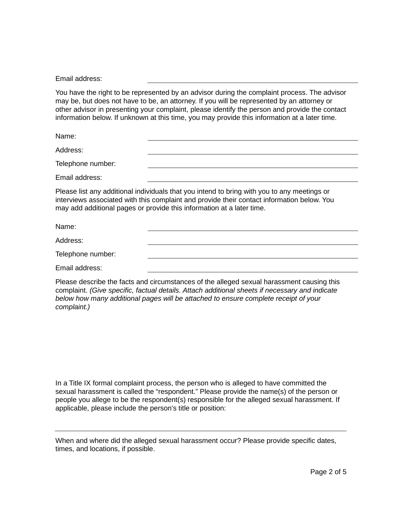Email address:

You have the right to be represented by an advisor during the complaint process. The advisor may be, but does not have to be, an attorney. If you will be represented by an attorney or other advisor in presenting your complaint, please identify the person and provide the contact information below. If unknown at this time, you may provide this information at a later time.

Name:

Address:

Telephone number:

Email address:

Please list any additional individuals that you intend to bring with you to any meetings or interviews associated with this complaint and provide their contact information below. You may add additional pages or provide this information at a later time.

Name:

Address:

Telephone number:

Email address:

Please describe the facts and circumstances of the alleged sexual harassment causing this complaint. *(Give specific, factual details. Attach additional sheets if necessary and indicate below how many additional pages will be attached to ensure complete receipt of your complaint.)*

In a Title IX formal complaint process, the person who is alleged to have committed the sexual harassment is called the "respondent." Please provide the name(s) of the person or people you allege to be the respondent(s) responsible for the alleged sexual harassment. If applicable, please include the person's title or position:

When and where did the alleged sexual harassment occur? Please provide specific dates, times, and locations, if possible.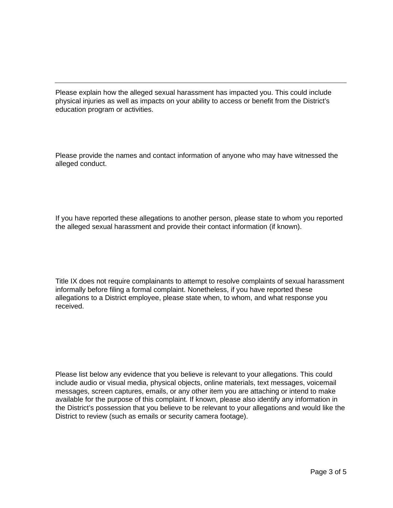Please explain how the alleged sexual harassment has impacted you. This could include physical injuries as well as impacts on your ability to access or benefit from the District's education program or activities.

Please provide the names and contact information of anyone who may have witnessed the alleged conduct.

If you have reported these allegations to another person, please state to whom you reported the alleged sexual harassment and provide their contact information (if known).

Title IX does not require complainants to attempt to resolve complaints of sexual harassment informally before filing a formal complaint. Nonetheless, if you have reported these allegations to a District employee, please state when, to whom, and what response you received.

Please list below any evidence that you believe is relevant to your allegations. This could include audio or visual media, physical objects, online materials, text messages, voicemail messages, screen captures, emails, or any other item you are attaching or intend to make available for the purpose of this complaint. If known, please also identify any information in the District's possession that you believe to be relevant to your allegations and would like the District to review (such as emails or security camera footage).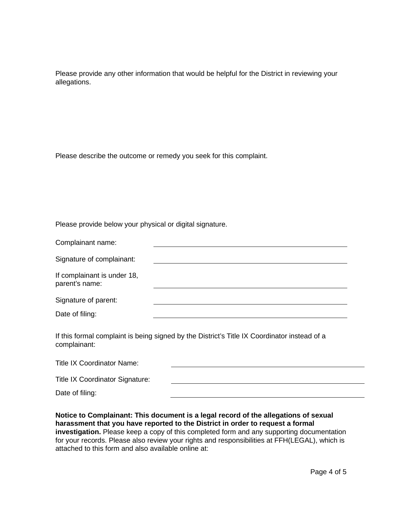Please provide any other information that would be helpful for the District in reviewing your allegations.

Please describe the outcome or remedy you seek for this complaint.

Please provide below your physical or digital signature.

| Complainant name:                                                                                            |  |  |
|--------------------------------------------------------------------------------------------------------------|--|--|
| Signature of complainant:                                                                                    |  |  |
| If complainant is under 18,<br>parent's name:                                                                |  |  |
| Signature of parent:                                                                                         |  |  |
| Date of filing:                                                                                              |  |  |
| If this formal complaint is being signed by the District's Title IX Coordinator instead of a<br>complainant: |  |  |
| <b>Title IX Coordinator Name:</b>                                                                            |  |  |

| <b>Title IX Coordinator Signature:</b> |  |
|----------------------------------------|--|
| Date of filing:                        |  |

**Notice to Complainant: This document is a legal record of the allegations of sexual harassment that you have reported to the District in order to request a formal investigation.** Please keep a copy of this completed form and any supporting documentation for your records. Please also review your rights and responsibilities at FFH(LEGAL), which is attached to this form and also available online at: